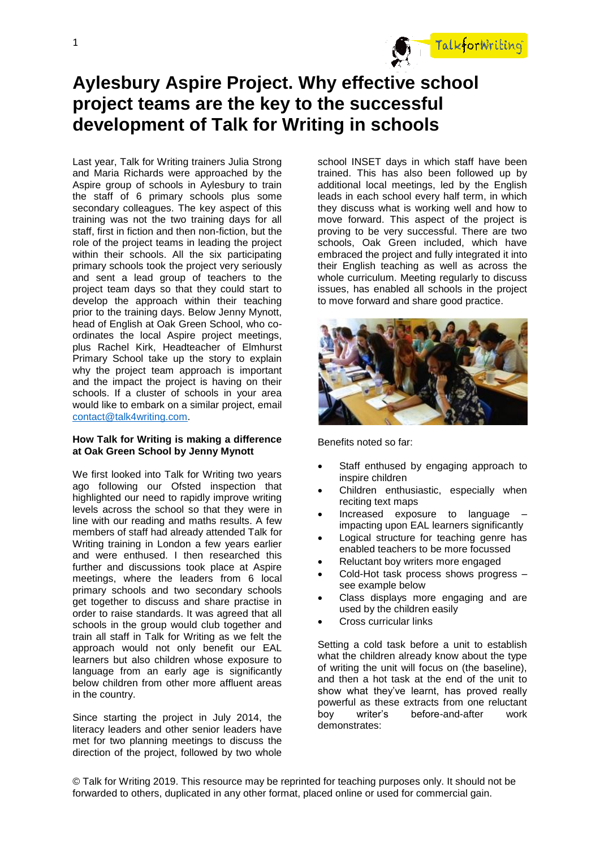

# **Aylesbury Aspire Project. Why effective school project teams are the key to the successful development of Talk for Writing in schools**

Last year, Talk for Writing trainers Julia Strong and Maria Richards were approached by the Aspire group of schools in Aylesbury to train the staff of 6 primary schools plus some secondary colleagues. The key aspect of this training was not the two training days for all staff, first in fiction and then non-fiction, but the role of the project teams in leading the project within their schools. All the six participating primary schools took the project very seriously and sent a lead group of teachers to the project team days so that they could start to develop the approach within their teaching prior to the training days. Below Jenny Mynott, head of English at Oak Green School, who coordinates the local Aspire project meetings, plus Rachel Kirk, Headteacher of Elmhurst Primary School take up the story to explain why the project team approach is important and the impact the project is having on their schools. If a cluster of schools in your area would like to embark on a similar project, email [contact@talk4writing.com.](mailto:contact@talk4writing.com)

## **How Talk for Writing is making a difference at Oak Green School by Jenny Mynott**

We first looked into Talk for Writing two years ago following our Ofsted inspection that highlighted our need to rapidly improve writing levels across the school so that they were in line with our reading and maths results. A few members of staff had already attended Talk for Writing training in London a few years earlier and were enthused. I then researched this further and discussions took place at Aspire meetings, where the leaders from 6 local primary schools and two secondary schools get together to discuss and share practise in order to raise standards. It was agreed that all schools in the group would club together and train all staff in Talk for Writing as we felt the approach would not only benefit our EAL learners but also children whose exposure to language from an early age is significantly below children from other more affluent areas in the country.

Since starting the project in July 2014, the literacy leaders and other senior leaders have met for two planning meetings to discuss the direction of the project, followed by two whole

school INSET days in which staff have been trained. This has also been followed up by additional local meetings, led by the English leads in each school every half term, in which they discuss what is working well and how to move forward. This aspect of the project is proving to be very successful. There are two schools, Oak Green included, which have embraced the project and fully integrated it into their English teaching as well as across the whole curriculum. Meeting regularly to discuss issues, has enabled all schools in the project to move forward and share good practice.



Benefits noted so far:

- Staff enthused by engaging approach to inspire children
- Children enthusiastic, especially when reciting text maps
- Increased exposure to language impacting upon EAL learners significantly
- Logical structure for teaching genre has enabled teachers to be more focussed
- Reluctant boy writers more engaged
- Cold-Hot task process shows progress see example below
- Class displays more engaging and are used by the children easily
- Cross curricular links

Setting a cold task before a unit to establish what the children already know about the type of writing the unit will focus on (the baseline), and then a hot task at the end of the unit to show what they've learnt, has proved really powerful as these extracts from one reluctant boy writer's before-and-after work demonstrates:

© Talk for Writing 2019. This resource may be reprinted for teaching purposes only. It should not be forwarded to others, duplicated in any other format, placed online or used for commercial gain.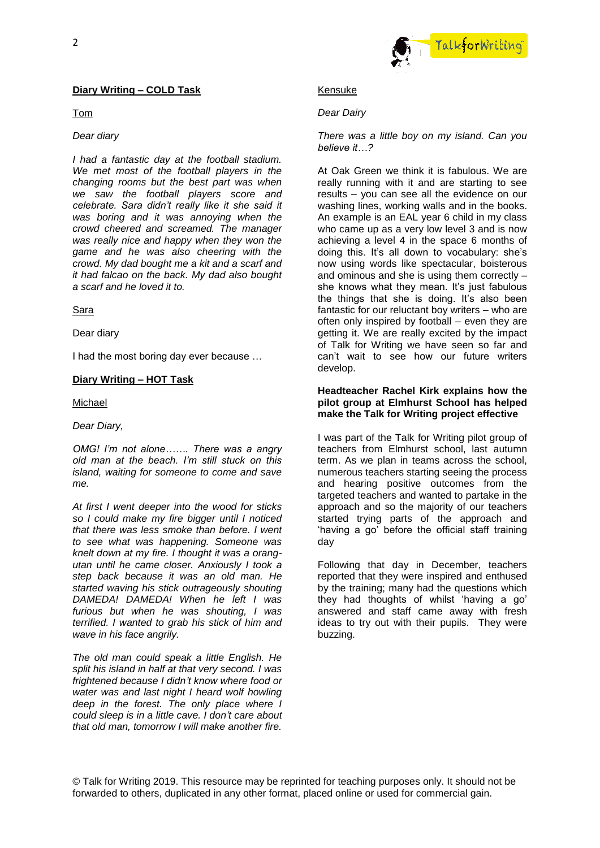## **Diary Writing – COLD Task**

Tom

#### *Dear diary*

*I had a fantastic day at the football stadium. We met most of the football players in the changing rooms but the best part was when we saw the football players score and celebrate. Sara didn't really like it she said it was boring and it was annoying when the crowd cheered and screamed. The manager was really nice and happy when they won the game and he was also cheering with the crowd. My dad bought me a kit and a scarf and it had falcao on the back. My dad also bought a scarf and he loved it to.*

#### Sara

Dear diary

I had the most boring day ever because …

## **Diary Writing – HOT Task**

Michael

## *Dear Diary,*

*OMG! I'm not alone……. There was a angry old man at the beach. I'm still stuck on this island, waiting for someone to come and save me.*

*At first I went deeper into the wood for sticks so I could make my fire bigger until I noticed that there was less smoke than before. I went to see what was happening. Someone was knelt down at my fire. I thought it was a orangutan until he came closer. Anxiously I took a step back because it was an old man. He started waving his stick outrageously shouting DAMEDA! DAMEDA! When he left I was furious but when he was shouting, I was terrified. I wanted to grab his stick of him and wave in his face angrily.*

*The old man could speak a little English. He split his island in half at that very second. I was frightened because I didn't know where food or water was and last night I heard wolf howling deep in the forest. The only place where I could sleep is in a little cave. I don't care about that old man, tomorrow I will make another fire.*



## Kensuke

## *Dear Dairy*

#### *There was a little boy on my island. Can you believe it…?*

At Oak Green we think it is fabulous. We are really running with it and are starting to see results – you can see all the evidence on our washing lines, working walls and in the books. An example is an EAL year 6 child in my class who came up as a very low level 3 and is now achieving a level 4 in the space 6 months of doing this. It's all down to vocabulary: she's now using words like spectacular, boisterous and ominous and she is using them correctly – she knows what they mean. It's just fabulous the things that she is doing. It's also been fantastic for our reluctant boy writers – who are often only inspired by football – even they are getting it. We are really excited by the impact of Talk for Writing we have seen so far and can't wait to see how our future writers develop.

# **Headteacher Rachel Kirk explains how the pilot group at Elmhurst School has helped make the Talk for Writing project effective**

I was part of the Talk for Writing pilot group of teachers from Elmhurst school, last autumn term. As we plan in teams across the school, numerous teachers starting seeing the process and hearing positive outcomes from the targeted teachers and wanted to partake in the approach and so the majority of our teachers started trying parts of the approach and 'having a go' before the official staff training day

Following that day in December, teachers reported that they were inspired and enthused by the training; many had the questions which they had thoughts of whilst 'having a go' answered and staff came away with fresh ideas to try out with their pupils. They were buzzing.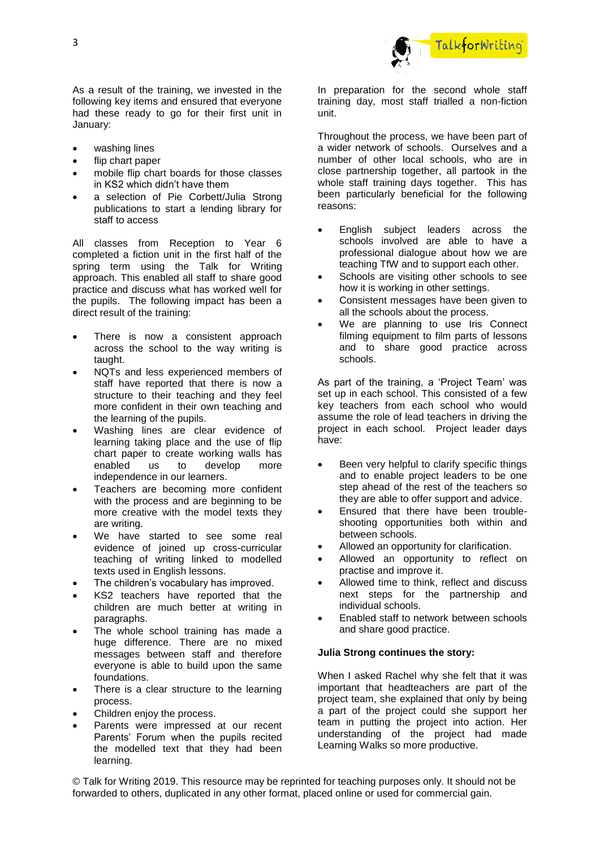

As a result of the training, we invested in the following key items and ensured that everyone had these ready to go for their first unit in January:

- washing lines
- flip chart paper
- mobile flip chart boards for those classes in KS2 which didn't have them
- a selection of Pie Corbett/Julia Strong publications to start a lending library for staff to access

All classes from Reception to Year 6 completed a fiction unit in the first half of the spring term using the Talk for Writing approach. This enabled all staff to share good practice and discuss what has worked well for the pupils. The following impact has been a direct result of the training:

- There is now a consistent approach across the school to the way writing is taught.
- NQTs and less experienced members of staff have reported that there is now a structure to their teaching and they feel more confident in their own teaching and the learning of the pupils.
- Washing lines are clear evidence of learning taking place and the use of flip chart paper to create working walls has enabled us to develop more independence in our learners.
- Teachers are becoming more confident with the process and are beginning to be more creative with the model texts they are writing.
- We have started to see some real evidence of joined up cross-curricular teaching of writing linked to modelled texts used in English lessons.
- The children's vocabulary has improved.
- KS2 teachers have reported that the children are much better at writing in paragraphs.
- The whole school training has made a huge difference. There are no mixed messages between staff and therefore everyone is able to build upon the same foundations.
- There is a clear structure to the learning process.
- Children enjoy the process.
- Parents were impressed at our recent Parents' Forum when the pupils recited the modelled text that they had been learning.

In preparation for the second whole staff training day, most staff trialled a non-fiction unit.

Throughout the process, we have been part of a wider network of schools. Ourselves and a number of other local schools, who are in close partnership together, all partook in the whole staff training days together. This has been particularly beneficial for the following reasons:

- English subject leaders across the schools involved are able to have a professional dialogue about how we are teaching TfW and to support each other.
- Schools are visiting other schools to see how it is working in other settings.
- Consistent messages have been given to all the schools about the process.
- We are planning to use Iris Connect filming equipment to film parts of lessons and to share good practice across schools.

As part of the training, a 'Project Team' was set up in each school. This consisted of a few key teachers from each school who would assume the role of lead teachers in driving the project in each school. Project leader days have:

- Been very helpful to clarify specific things and to enable project leaders to be one step ahead of the rest of the teachers so they are able to offer support and advice.
- Ensured that there have been troubleshooting opportunities both within and between schools.
- Allowed an opportunity for clarification.
- Allowed an opportunity to reflect on practise and improve it.
- Allowed time to think, reflect and discuss next steps for the partnership and individual schools.
- Enabled staff to network between schools and share good practice.

## **Julia Strong continues the story:**

When I asked Rachel why she felt that it was important that headteachers are part of the project team, she explained that only by being a part of the project could she support her team in putting the project into action. Her understanding of the project had made Learning Walks so more productive.

© Talk for Writing 2019. This resource may be reprinted for teaching purposes only. It should not be forwarded to others, duplicated in any other format, placed online or used for commercial gain.